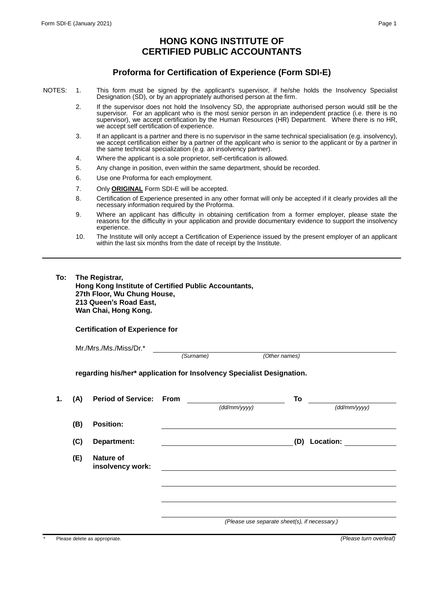## **HONG KONG INSTITUTE OF CERTIFIED PUBLIC ACCOUNTANTS**

## **Proforma for Certification of Experience (Form SDI-E)**

- NOTES: 1. This form must be signed by the applicant's supervisor, if he/she holds the Insolvency Specialist Designation (SD), or by an appropriately authorised person at the firm.
	- 2. If the supervisor does not hold the Insolvency SD, the appropriate authorised person would still be the supervisor. For an applicant who is the most senior person in an independent practice (i.e. there is no supervisor), we accept certification by the Human Resources (HR) Department. Where there is no HR, we accept self certification of experience.
	- 3. If an applicant is a partner and there is no supervisor in the same technical specialisation (e.g. insolvency), we accept certification either by a partner of the applicant who is senior to the applicant or by a partner in the same technical specialization (e.g. an insolvency partner).
	- 4. Where the applicant is a sole proprietor, self-certification is allowed.
	- 5. Any change in position, even within the same department, should be recorded.
	- 6. Use one Proforma for each employment.
	- 7. Only **ORIGINAL** Form SDI-E will be accepted.
	- 8. Certification of Experience presented in any other format will only be accepted if it clearly provides all the necessary information required by the Proforma.
	- 9. Where an applicant has difficulty in obtaining certification from a former employer, please state the reasons for the difficulty in your application and provide documentary evidence to support the insolvency experience.
	- 10. The Institute will only accept a Certification of Experience issued by the present employer of an applicant within the last six months from the date of receipt by the Institute.

## **To: The Registrar,**

**Hong Kong Institute of Certified Public Accountants, 27th Floor, Wu Chung House, 213 Queen's Road East, Wan Chai, Hong Kong.**

**Certification of Experience for** 

| Mr./Mrs./Ms./Miss/Dr.* |
|------------------------|
|------------------------|

*(Surname) (Other names)*

**regarding his/her\* application for Insolvency Specialist Designation.**

| 1. | (A) | <b>Period of Service: From</b>       |                                               |              | To               |              |
|----|-----|--------------------------------------|-----------------------------------------------|--------------|------------------|--------------|
|    |     |                                      |                                               | (dd/mm/yyyy) |                  | (dd/mm/yyyy) |
|    | (B) | <b>Position:</b>                     |                                               |              |                  |              |
|    | (C) | Department:                          |                                               |              | Location:<br>(D) |              |
|    | (E) | <b>Nature of</b><br>insolvency work: |                                               |              |                  |              |
|    |     |                                      |                                               |              |                  |              |
|    |     |                                      |                                               |              |                  |              |
|    |     |                                      |                                               |              |                  |              |
|    |     |                                      | (Please use separate sheet(s), if necessary.) |              |                  |              |
|    |     |                                      |                                               |              |                  |              |

\* Please delete as appropriate. *(Please turn overleaf)*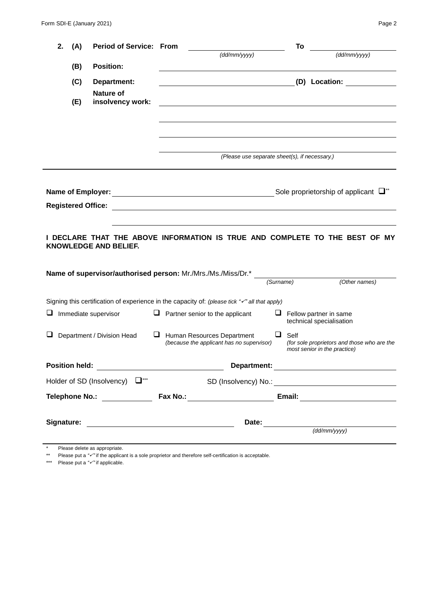| 2.<br>(A)                                                                                                 | <b>Period of Service: From</b>                    |                                                                                                                      | To                                                                                       |  |  |  |  |
|-----------------------------------------------------------------------------------------------------------|---------------------------------------------------|----------------------------------------------------------------------------------------------------------------------|------------------------------------------------------------------------------------------|--|--|--|--|
| (B)                                                                                                       | <b>Position:</b>                                  | (dd/mm/yyy)                                                                                                          | (dd/mm/yyy)                                                                              |  |  |  |  |
| (C)                                                                                                       | Department:                                       |                                                                                                                      | (D) Location:                                                                            |  |  |  |  |
|                                                                                                           | <b>Nature of</b>                                  |                                                                                                                      |                                                                                          |  |  |  |  |
| (E)                                                                                                       | insolvency work:                                  | <u> 1989 - Johann Barbara, marka a shekara tsa 1989 - An tsa 1989 - An tsa 1989 - An tsa 1989 - An tsa 1989 - An</u> |                                                                                          |  |  |  |  |
|                                                                                                           |                                                   |                                                                                                                      |                                                                                          |  |  |  |  |
|                                                                                                           |                                                   |                                                                                                                      |                                                                                          |  |  |  |  |
|                                                                                                           |                                                   |                                                                                                                      | (Please use separate sheet(s), if necessary.)                                            |  |  |  |  |
|                                                                                                           |                                                   |                                                                                                                      |                                                                                          |  |  |  |  |
|                                                                                                           |                                                   |                                                                                                                      | Sole proprietorship of applicant $\Box^*$                                                |  |  |  |  |
| <b>Registered Office:</b>                                                                                 |                                                   |                                                                                                                      |                                                                                          |  |  |  |  |
|                                                                                                           |                                                   |                                                                                                                      |                                                                                          |  |  |  |  |
| DECLARE THAT THE ABOVE INFORMATION IS TRUE AND COMPLETE TO THE BEST OF MY<br><b>KNOWLEDGE AND BELIEF.</b> |                                                   |                                                                                                                      |                                                                                          |  |  |  |  |
| Name of supervisor/authorised person: Mr./Mrs./Ms./Miss/Dr.*                                              |                                                   |                                                                                                                      |                                                                                          |  |  |  |  |
|                                                                                                           |                                                   |                                                                                                                      | (Other names)<br>(Surname)                                                               |  |  |  |  |
|                                                                                                           |                                                   | Signing this certification of experience in the capacity of: (please tick "v" all that apply)                        |                                                                                          |  |  |  |  |
|                                                                                                           | Immediate supervisor                              | $\Box$ Partner senior to the applicant                                                                               | $\Box$ Fellow partner in same<br>technical specialisation                                |  |  |  |  |
|                                                                                                           | Department / Division Head                        | ⊔<br>Human Resources Department<br>(because the applicant has no supervisor)                                         | ⊔<br>Self<br>(for sole proprietors and those who are the<br>most senior in the practice) |  |  |  |  |
|                                                                                                           | Position held: __________________________________ |                                                                                                                      |                                                                                          |  |  |  |  |
|                                                                                                           | Holder of SD (Insolvency) □ ***                   |                                                                                                                      |                                                                                          |  |  |  |  |
|                                                                                                           |                                                   |                                                                                                                      |                                                                                          |  |  |  |  |
|                                                                                                           |                                                   |                                                                                                                      |                                                                                          |  |  |  |  |
|                                                                                                           | (dd/mm/yyy)                                       |                                                                                                                      |                                                                                          |  |  |  |  |

\* Please delete as appropriate.

\*\* Please put a *""* if the applicant is a sole proprietor and therefore self-certification is acceptable.

\*\*\* Please put a *""* if applicable.